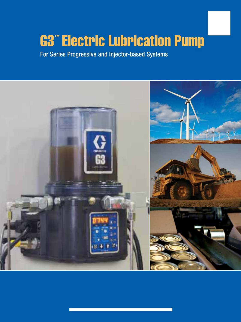# G3™ Electric Lubrication Pump

For Series Progressive and Injector-based Systems

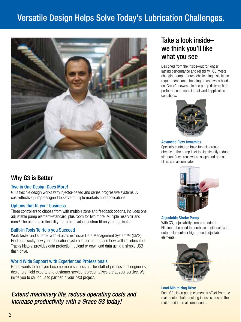## Versatile Design Helps Solve Today's Lubrication Challenges.



### Why G3 is Better

#### Two in One Design Does More!

G3's flexible design works with injector-based and series progressive systems. A cost-effective pump designed to serve multiple markets and applications.

#### Options that fit your business

Three controllers to choose from with multiple zone and feedback options. Includes one adjustable pump element–standard, plus room for two more. Multiple reservoir and more! The ultimate in flexibility–for a high value, custom fit on your application.

#### Built-in Tools To Help you Succeed

Work faster and smarter with Graco's exclusive Data Management System™ (DMS). Find out exactly how your lubrication system is performing and how well it's lubricated. Tracks history, provides data protection, upload or download data using a simple USB flash drive.

#### World Wide Support with Experienced Professionals

Graco wants to help you become more successful. Our staff of professional engineers, designers, field experts and customer service representatives are at your service. We invite you to call on us to partner in your next project.

### Extend machinery life, reduce operating costs and increase productivity with a Graco G3 today!

### Take a look inside– we think you'll like what you see

Designed from the inside–out for longer lasting performance and reliability. G3 meets changing temperatures, challenging installation requirements and changing grease types headon. Graco's newest electric pump delivers high performance results in real world application conditions.



#### Advanced Flow Dynamics Specially contoured base funnels grease

directly to the pump inlet to significantly reduce stagnant flow areas where soaps and grease fillers can accumulate.



Adjustable Stroke Pump With G3, adjustability comes standard! Eliminate the need to purchase additional fixed output elements or high-priced adjustable elements.



Load Minimizing Drive Each G3 piston pump element is offset from the main motor shaft resulting in less stress on the motor and internal components.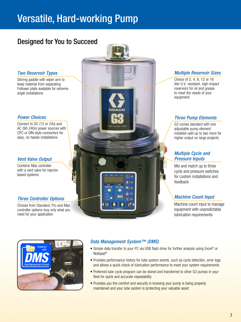## Versatile, Hard-working Pump

## Designed for You to Succeed

#### Two Reservoir Types

Stirring paddle with wiper arm to keep material from separating. Follower plate available for extreme angle installations

#### Power Choices

Connect to DC (12 or 24v) and AC (90-240v) power sources with CPC or DIN-style connectors for easy, no hassle installations

#### Vent Valve Output

Combine Max controller with a vent valve for injectorbased systems

#### Three Controller Options

Choose from Standard, Pro and Max controller options–buy only what you need for your application



#### Multiple Reservoir Sizes

Choice of 2, 4, 8, 12 or 16 liter U.V. resistant, high-impact reservoirs for oil and grease to meet the needs of your equipment

#### Three Pump Elements

 G3 comes standard with one adiustable pump element installed–add up to two more for higher output on large projects

#### Multiple Cycle and Pressure Inputs

Mix and match up to three cycle and pressure switches for custom installations and feedback

#### Machine Count Input

Machine count input to manage equipment with unpredictable lubrication requirements



#### Data Management System™ (DMS)

- Simple data transfer to your PC via USB flash drive for further analysis using Excel® or Notepad®
- Provides performance history for lube system events, such as cycle detection, error logs and allows a quick check of lubrication performance to meet your system requirements
- Preferred lube cycle program can be stored and transferred to other G3 pumps in your fleet for quick and accurate repeatability
- Provides you the comfort and security in knowing your pump is being properly maintained and your lube system is protecting your valuable asset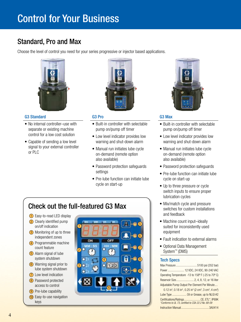## Control for Your Business

## Standard, Pro and Max

Choose the level of control you need for your series progressive or injector based applications.



#### G3 Standard

- No internal controller–use with separate or existing machine control for a low cost solution
- Capable of sending a low level signal to your external controller or PLC



#### G3 Pro

- Built-in controller with selectable pump on/pump off timer
- Low level indicator provides low warning and shut-down alarm
- Manual run initiates lube cycle on-demand (remote option also available)
- Password protection safeguards settings
- Pre-lube function can initiate lube cycle on start-up

## Check out the full-featured G3 Max

- 1) Easy-to-read LED display 2 Clearly identified pump on/off indication
- 3) Monitoring of up to three independent zones
- 4) Programmable machine count feature
- 5 Alarm signal of lube system shutdown
- **6** Warning signal prior to lube system shutdown
- 7 Low level indication
- 8 Password protected access to control
- **9** Pre-lube capability
- 10 Easy-to-use navigation keys





#### G3 Max

- Built-in controller with selectable pump on/pump off timer
- Low level indicator provides low warning and shut-down alarm
- Manual run initiates lube cycle on-demand (remote option also available)
- Password protection safeguards
- Pre-lube function can initiate lube cycle on start-up
- Up to three pressure or cycle switch inputs to ensure proper lubrication cycles
- Mix/match cycle and pressure switches for custom installations and feedback
- Machine count input-ideally suited for inconsistently used equipment
- Fault indication to external alarms
- Optional Data Management System™ (DMS)

#### Tech Specs

|                                                     | Power  12 VDC, 24 VDC, 90-240 VAC                                                                                               |
|-----------------------------------------------------|---------------------------------------------------------------------------------------------------------------------------------|
|                                                     | Operating Temperature -13 to 158° F (-25 to 70° C)                                                                              |
|                                                     |                                                                                                                                 |
|                                                     | Adjustable Pump Output Per Element Per Minute                                                                                   |
|                                                     | 0.12 in <sup>3</sup> , 0.18 in <sup>3</sup> , 0.25 in <sup>3</sup> (2 cm <sup>3</sup> , 3 cm <sup>3</sup> , 4 cm <sup>3</sup> ) |
|                                                     | Lube Type  Oil or Grease, up to NLGI #2                                                                                         |
| *Conforms to UL 73, certified to CSA 22.2 No. 68-09 | Certifications/RatingsCE, ETL*, IP69K                                                                                           |
|                                                     |                                                                                                                                 |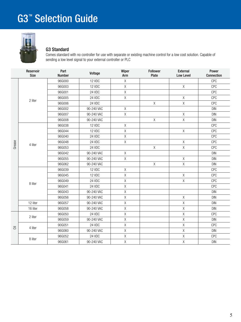

#### G3 Standard

Comes standard with no controller for use with separate or existing machine control for a low cost solution. Capable of sending a low level signal to your external controller or PLC

|                | Reservoir<br>Size | Part<br><b>Number</b> | Voltage    | Wiper<br>Arm | Follower<br>Plate | External<br><b>Low Level</b> | Power<br>Connection |
|----------------|-------------------|-----------------------|------------|--------------|-------------------|------------------------------|---------------------|
|                |                   | 96G000                | 12 VDC     | $\mathsf X$  |                   |                              | <b>CPC</b>          |
|                |                   | 96G003                | 12 VDC     | $\mathsf X$  |                   | $\mathsf{X}$                 | <b>CPC</b>          |
|                |                   | 96G001                | 24 VDC     | $\mathsf X$  |                   |                              | <b>CPC</b>          |
|                |                   | 96G005                | 24 VDC     | $\mathsf X$  |                   | χ                            | <b>CPC</b>          |
|                | 2 liter           | 96G006                | 24 VDC     |              | $\mathsf X$       | $\mathsf{X}$                 | <b>CPC</b>          |
|                |                   | 96G002                | 90-240 VAC | $\mathsf X$  |                   |                              | <b>DIN</b>          |
|                |                   | 96G007                | 90-240 VAC | $\chi$       |                   | χ                            | <b>DIN</b>          |
|                |                   | 96G008                | 90-240 VAC |              | $\sf X$           | Χ                            | <b>DIN</b>          |
|                |                   | 96G038                | 12 VDC     | $\mathsf X$  |                   |                              | <b>CPC</b>          |
|                |                   | 96G044                | 12 VDC     | $\mathsf X$  |                   | $\mathsf{X}$                 | <b>CPC</b>          |
|                |                   | 96G040                | 24 VDC     | $\mathsf X$  |                   |                              | <b>CPC</b>          |
| Grease         | 4 liter           | 96G048                | 24 VDC     | $\mathsf X$  |                   | Χ                            | <b>CPC</b>          |
|                |                   | 96G053                | 24 VDC     |              | $\chi$            | $\mathsf{X}$                 | <b>CPC</b>          |
|                |                   | 96G042                | 90-240 VAC | $\mathsf X$  |                   |                              | <b>DIN</b>          |
|                |                   | 96G055                | 90-240 VAC | $\mathsf X$  |                   | Χ                            | <b>DIN</b>          |
|                |                   | 96G062                | 90-240 VAC |              | $\mathsf{X}$      | $\mathsf{\overline{X}}$      | <b>DIN</b>          |
|                |                   | 96G039                | 12 VDC     | $\mathsf X$  |                   |                              | <b>CPC</b>          |
|                |                   | 96G045                | 12 VDC     | $\mathsf X$  |                   | Χ                            | <b>CPC</b>          |
|                |                   | 96G049                | 24 VDC     | $\mathsf X$  |                   | Χ                            | <b>CPC</b>          |
|                | 8 liter           | 96G041                | 24 VDC     | $\mathsf X$  |                   |                              | <b>CPC</b>          |
|                |                   | 96G043                | 90-240 VAC | $\mathsf X$  |                   |                              | <b>DIN</b>          |
|                |                   | 96G056                | 90-240 VAC | $\mathsf X$  |                   | $\mathsf{X}$                 | <b>DIN</b>          |
|                | 12 liter          | 96G057                | 90-240 VAC | $\mathsf X$  |                   | Χ                            | <b>DIN</b>          |
|                | 16 liter          | 96G058                | 90-240 VAC | $\mathsf{X}$ |                   | X                            | <b>DIN</b>          |
|                | 2 liter           | 96G050                | 24 VDC     | $\mathsf X$  |                   | $\mathsf{X}% _{0}$           | <b>CPC</b>          |
|                |                   | 96G059                | 90-240 VAC | $\mathsf X$  |                   | Χ                            | <b>DIN</b>          |
| $\overline{5}$ |                   | 90G051                | 24 VDC     | $\mathsf{X}$ |                   | $\overline{\mathsf{X}}$      | <b>CPC</b>          |
|                | 4 liter           | 96G060                | 90-240 VAC | $\mathsf X$  |                   | Χ                            | <b>DIN</b>          |
|                |                   | 96G052                | 24 VDC     | $\mathsf X$  |                   | Χ                            | <b>CPC</b>          |
|                | 8 liter           | 96G061                | 90-240 VAC | $\mathsf X$  |                   | Χ                            | <b>DIN</b>          |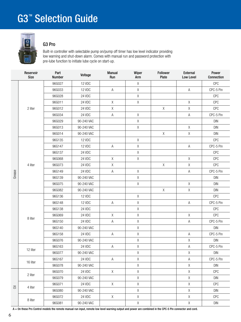

#### G3 Pro

Built-in controller with selectable pump on/pump off timer has low level indicator providing low warning and shut-down alarm. Comes with manual run and password protection with pre-lube function to initiate lube cycle on start-up.

|                               | Reservoir<br><b>Size</b> | Part<br><b>Number</b> | Voltage    | <b>Manual</b><br>Run | Wiper<br>Arm | Follower<br>Plate | External<br>Low Level | Power<br>Connection              |
|-------------------------------|--------------------------|-----------------------|------------|----------------------|--------------|-------------------|-----------------------|----------------------------------|
|                               |                          | 96G027                | 12 VDC     |                      | X            |                   |                       | <b>CPC</b>                       |
|                               |                          | 96G033                | 12 VDC     | $\mathsf A$          | $\mathsf X$  |                   | $\mathsf A$           | CPC-5 Pin                        |
|                               |                          | 96G028                | 24 VDC     |                      | $\mathsf X$  |                   |                       | <b>CPC</b>                       |
|                               |                          | 96G011                | 24 VDC     | $\mathsf X$          | $\mathsf X$  |                   | $\sf X$               | <b>CPC</b>                       |
|                               | 2 liter                  | 96G012                | 24 VDC     | $\mathsf X$          |              | $\chi$            | $\sf X$               | CPC                              |
|                               |                          | 96G034                | 24 VDC     | $\mathsf A$          | χ            |                   | $\mathsf A$           | CPC-5 Pin                        |
|                               |                          | 96G029                | 90-240 VAC |                      | $\mathsf X$  |                   |                       | <b>DIN</b>                       |
|                               |                          | 96G013                | 90-240 VAC |                      | $\mathsf{X}$ |                   | $\sf X$               | <b>DIN</b>                       |
|                               |                          | 96G014                | 90-240 VAC |                      |              | $\mathsf X$       | $\sf X$               | <b>DIN</b>                       |
|                               |                          | 96G135                | 12 VDC     |                      | $\mathsf X$  |                   |                       | <b>CPC</b>                       |
|                               |                          | 96G147                | 12 VDC     | $\mathsf A$          | $\mathsf X$  |                   | $\mathsf A$           | CPC-5 Pin                        |
|                               |                          | 96G137                | 24 VDC     |                      | $\chi$       |                   |                       | CPC                              |
|                               |                          | 96G068                | 24 VDC     | $\mathsf X$          | $\mathsf X$  |                   | $\mathsf X$           | CPC                              |
|                               | 4 liter                  | 96G073                | 24 VDC     | $\mathsf X$          |              | $\mathsf X$       | $\sf X$               | CPC                              |
|                               |                          | 96G149                | 24 VDC     | $\mathsf A$          | $\chi$       |                   | $\mathsf A$           | CPC-5 Pin                        |
| Grease                        |                          | 96G139                | 90-240 VAC |                      | $\mathsf X$  |                   |                       | <b>DIN</b>                       |
|                               |                          | 96G075                | 90-240 VAC |                      | $\mathsf X$  |                   | $\sf X$               | <b>DIN</b>                       |
|                               |                          | 96G082                | 90-240 VAC |                      |              | χ                 | $\sf X$               | <b>DIN</b>                       |
|                               |                          | 96G136                | 12 VDC     |                      | $\chi$       |                   |                       | CPC                              |
|                               |                          | 96G148                | 12 VDC     | $\mathsf{A}$         | $\mathsf X$  |                   | $\mathsf A$           | CPC-5 Pin                        |
|                               |                          | 96G138                | 24 VDC     |                      | $\mathsf X$  |                   |                       | CPC                              |
|                               |                          | 96G069                | 24 VDC     | $\chi$               | $\mathsf X$  |                   | X                     | <b>CPC</b>                       |
|                               | 8 liter                  | 96G150                | 24 VDC     | $\mathsf A$          | $\mathsf X$  |                   | $\mathsf A$           | CPC-5 Pin                        |
|                               |                          | 96G140                | 90-240 VAC |                      | $\mathsf X$  |                   |                       | <b>DIN</b>                       |
|                               |                          | 96G158                | 24 VDC     | $\mathsf A$          | $\mathsf X$  |                   | Α                     | CPC-5 Pin                        |
|                               |                          | 96G076                | 90-240 VAC |                      | Χ            |                   | $\sf X$               | DIN                              |
|                               |                          | 96G163                | 24 VDC     | $\mathsf A$          | $\mathsf X$  |                   | Α                     | CPC-5 Pin                        |
|                               | 12 liter                 | 96G077                | 90-240 VAC |                      | $\mathsf X$  |                   | $\mathsf X$           | ${\sf DIN}$                      |
|                               | 16 liter                 | 96G167                | 24 VDC     | A                    | $\chi$       |                   | $\mathsf A$           | CPC-5 Pin                        |
|                               |                          | 96G078                | 90-240 VAC |                      | $\mathsf X$  |                   | $\sf X$               | <b>DIN</b>                       |
|                               |                          | 96G070                | 24 VDC     | $\mathsf{X}$         | $\mathsf X$  |                   | $\sf X$               | <b>CPC</b>                       |
|                               | 2 liter                  | 96G079                | 90-240 VAC |                      | $\mathsf X$  |                   | X                     | <b>DIN</b>                       |
|                               |                          | 96G071                | 24 VDC     | X                    | $\sf X$      |                   | $\sf X$               | <b>CPC</b>                       |
| $\overline{\overline{\circ}}$ | 4 liter                  | 96G080                | 90-240 VAC |                      | $\sf X$      |                   | X                     | <b>DIN</b>                       |
|                               |                          | 96G072                | 24 VDC     | $\mathsf{X}$         | $\mathsf X$  |                   | X                     | CPC                              |
|                               | 8 liter                  | 96G081                | 90-240 VAC |                      | $\mathsf X$  |                   | X                     | $\mathsf{D}\mathsf{I}\mathsf{N}$ |

A = On these Pro Control models the remote manual run input, remote low level warning output and power are combined in the CPC-5 Pin connector and cord.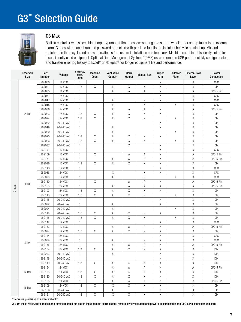## G3<sup>™</sup> Selection Guide



#### G3 Max

Built-in controller with selectable pump on/pump off timer has low warning and shut-down alarm or set up faults to an external alarm. Comes with manual run and password protection with pre-lube function to initiate lube cycle on start-up. Mix and match up to three cycle and pressure switches for custom installations and feedback. Machine count input is ideally suited for inconsistently used equipment. Optional Data Management System™ (DMS) uses a common USB port to quickly configure, store and transfer error log history to Excel® or Notepad® for longer equipment life and performance.

|        | Reservoir<br>Size | Part<br>Number | Voltage    | # of Cycle/<br>Press.<br>Input | Machine<br>Count | <b>Vent Valve</b><br>Output* | Alarm<br><b>Output</b> | <b>Manual Run</b> | Wiper<br>Arm | <b>Follower</b><br>Plate | <b>External Low</b><br>Level | Power<br>Connection |
|--------|-------------------|----------------|------------|--------------------------------|------------------|------------------------------|------------------------|-------------------|--------------|--------------------------|------------------------------|---------------------|
|        |                   | 96G030         | 12 VDC     | $\mathbf{1}$                   |                  |                              |                        |                   | Χ            |                          | Χ                            | CPC                 |
|        |                   | 96G021         | 12 VDC     | $1 - 3$                        | X                | Χ                            | Χ                      | Χ                 | $\mathsf X$  |                          | Χ                            | <b>DIN</b>          |
|        |                   | 96G035         | 12 VDC     | $\mathbf{1}$                   |                  | Χ                            | Α                      | A                 | X            |                          | Α                            | CPC-5 Pin           |
|        |                   | 96G031         | 24 VDC     | $\mathbf{1}$                   |                  |                              |                        |                   | X            |                          | $\mathsf X$                  | CPC                 |
|        |                   | 96G017         | 24 VDC     | $\mathbf{1}$                   |                  | Χ                            |                        | Χ                 | Χ            |                          | $\mathsf X$                  | CPC                 |
|        |                   | 96G018         | 24 VDC     | $\mathbf{1}$                   |                  | Χ                            |                        | Χ                 |              | Χ                        | $\mathsf X$                  | CPC                 |
|        |                   | 96G036         | 24 VDC     | $\mathbf{1}$                   |                  | χ                            | Α                      | Α                 | X            |                          | Α                            | CPC-5 Pin           |
|        | 2 liter           | 96G023         | 24 VDC     | $1 - 3$                        | Χ                | Χ                            | Χ                      | Χ                 | X            |                          | χ                            | <b>DIN</b>          |
|        |                   | 96G024         | 24 VDC     | $1 - 3$                        | Χ                | Χ                            | Χ                      | Χ                 |              | Χ                        | Χ                            | <b>DIN</b>          |
|        |                   | 96G032         | 90-240 VAC | $\mathbf{1}$                   |                  |                              |                        |                   | X            |                          | Χ                            | <b>DIN</b>          |
|        |                   | 96G019         | 90-240 VAC | $\mathbf{1}$                   |                  | χ                            |                        |                   | Χ            |                          | $\mathsf X$                  | <b>DIN</b>          |
|        |                   | 96G020         | 90-240 VAC | $\mathbf{1}$                   |                  | Χ                            |                        |                   |              | Χ                        | $\mathsf X$                  | <b>DIN</b>          |
|        |                   | 96G025         | 90-240 VAC | $1 - 3$                        | Χ                | Χ                            | X                      | Χ                 | X            |                          | $\mathsf X$                  | <b>DIN</b>          |
|        |                   | 96G026         | 90-240 VAC | $1 - 3$                        | $\mathsf X$      | Χ                            | $\mathsf X$            | $\mathsf X$       |              | Χ                        | $\mathsf X$                  | <b>DIN</b>          |
|        |                   | 96G037         | 90-240 VAC | $\mathbf{1}$                   |                  |                              | X                      |                   | X            |                          | Χ                            | <b>DIN</b>          |
|        |                   | 96G141         | 12 VDC     | $\mathbf{1}$                   |                  |                              |                        |                   | Χ            |                          | $\mathsf X$                  | CPC                 |
|        |                   | 96G159         | 12 VDC     | 1                              | Χ                |                              | Α                      | Α                 | Χ            |                          | Α                            | CPC-5 Pin           |
|        |                   | 96G151         | 12 VDC     | $\mathbf{1}$                   |                  | χ                            | Α                      | Α                 | χ            |                          | $\mathsf A$<br>Χ             | CPC-5 Pin           |
|        |                   | 96G096         | 12 VDC     | $1 - 3$                        | X                | χ                            | X                      | $\mathsf X$       | χ            |                          |                              | <b>DIN</b>          |
|        |                   | 96G143         | 24 VDC     | $\mathbf{1}$                   |                  |                              |                        |                   | χ            |                          | Χ                            | CPC                 |
|        |                   | 96G088         | 24 VDC     | $\mathbf{1}$                   |                  | χ                            |                        | $\mathsf X$       | X            |                          | $\mathsf X$                  | CPC                 |
|        |                   | 96G090         | 24 VDC     | $\mathbf{1}$                   |                  | Χ                            |                        | $\mathsf X$       |              | X                        | $\mathsf X$                  | CPC                 |
|        | 4 liter           | 96G160         | 24 VDC     | $\mathbf{1}$                   | Χ                |                              | Α                      | Α                 | Χ            |                          | $\mathsf A$                  | CPC-5 Pin           |
| Grease |                   | 96G155         | 24 VDC     | $\mathbf{1}$                   |                  | Χ                            | Α                      | Α                 | $\mathsf X$  |                          | Α                            | CPC-5 Pin           |
|        |                   | 96G103         | 24 VDC     | $1 - 3$                        | Χ                | Χ                            | Χ                      | $\mathsf X$       | $\mathsf X$  |                          | Χ                            | <b>DIN</b>          |
|        |                   | 96G113         | 24 VDC     | $1 - 3$                        | Χ                | χ                            | χ                      | $\mathsf X$       |              | X                        | $\mathsf X$                  | <b>DIN</b>          |
|        |                   | 96G145         | 90-240 VAC | $\mathbf{1}$                   |                  |                              |                        |                   | Χ            |                          | $\mathsf X$                  | <b>DIN</b>          |
|        |                   | 96G092         | 90-240 VAC | $\mathbf{1}$                   |                  | χ                            |                        |                   | $\mathsf X$  |                          | $\mathsf X$                  | <b>DIN</b>          |
|        |                   | 96G094         | 90-240 VAC | $\mathbf{1}$                   |                  | χ                            |                        |                   |              | Χ                        | $\mathsf X$                  | <b>DIN</b>          |
|        |                   | 96G118         | 90-240 VAC | $1 - 3$                        | Χ                | χ                            | Χ                      | Χ                 | $\chi$       |                          | Χ                            | <b>DIN</b>          |
|        |                   | 96G128         | 90-240 VAC | $1 - 3$                        | $\mathsf X$      | χ                            | $\mathsf X$            | $\mathsf X$       |              | X                        | $\mathsf X$                  | <b>DIN</b>          |
|        |                   | 96G142         | 12 VDC     | $\mathbf{1}$                   |                  |                              |                        |                   | X            |                          | $\mathsf X$                  | CPC                 |
|        |                   | 96G152         | 12 VDC     | $\mathbf{1}$                   |                  | Χ                            | Α                      | Α                 | X            |                          | $\mathsf A$                  | CPC-5 Pin           |
|        |                   | 96G097         | 12 VDC     | $1 - 3$                        | Χ                | χ                            | Χ                      | $\mathsf X$       | $\mathsf X$  |                          | $\mathsf X$                  | <b>DIN</b>          |
|        |                   | 96G144         | 24 VDC     | $\mathbf{1}$                   |                  |                              |                        |                   | Χ            |                          | $\mathsf X$                  | CPC                 |
|        | 8 liter           | 96G089         | 24 VDC     | $\mathbf{1}$                   |                  | χ                            |                        | Χ                 | $\mathsf X$  |                          | Χ                            | CPC                 |
|        |                   | 96G156         | 24 VDC     | $\mathbf{1}$                   |                  | Χ                            | Α                      | Α                 | X            |                          | $\mathsf A$                  | CPC-5 Pin           |
|        |                   | 96G104         | 24 VDC     | $1 - 3$                        | Χ                | Χ                            | Χ                      | $\mathsf X$       | $\mathsf X$  |                          | $\mathsf X$                  | <b>DIN</b>          |
|        |                   | 96G093         | 90-240 VAC | 1                              |                  | χ                            |                        |                   | X            |                          | $\mathsf X$                  | DIN                 |
|        |                   | 96G146         | 90-240 VAC | $\mathbf{1}$                   |                  |                              |                        |                   | χ            |                          | $\mathsf X$                  | <b>DIN</b>          |
|        |                   | 96G119         | 90-240 VAC | $1 - 3$                        | X                | Χ                            | X                      | Χ                 | $\mathsf X$  |                          | $\mathsf X$                  | <b>DIN</b>          |
|        |                   | 96G164         | 24 VDC     | $\mathbf{1}$                   |                  | Χ                            | Α                      | Α                 | $\mathsf X$  |                          | Α                            | CPC-5 Pin           |
|        | 12 liter          | 96G105         | 24 VDC     | $1 - 3$                        | $\mathsf X$      | Χ                            | $\mathsf X$            | X                 | $\mathsf X$  |                          | Χ                            | <b>DIN</b>          |
|        |                   | 96G120         | 90-240 VAC | $1 - 3$                        | Χ                | Χ                            | Χ                      | Χ                 | $\mathsf X$  |                          | Χ                            | <b>DIN</b>          |
|        |                   | 96G168         | 24 VDC     | $\mathbf{1}$                   |                  | Χ                            | Α                      | Α                 | $\mathsf X$  |                          | Α                            | CPC-5 Pin           |
|        |                   | 96G106         | 24 VDC     | $1 - 3$                        | Χ                | Χ                            | X                      | Χ                 | $\mathsf X$  |                          | χ                            | DIN                 |
|        | 16 liter          | 96G166         | 90-240 VAC | $\mathbf{1}$                   |                  | Χ                            |                        |                   | X            |                          | $\mathsf X$                  | DIN                 |
|        |                   | 96G121         | 90-240 VAC | $1 - 3$                        | $\mathsf X$      | $\mathsf X$                  | $\mathsf X$            | $\mathsf X$       | $\mathsf X$  |                          | $\mathsf X$                  | DIN                 |
|        |                   |                |            |                                |                  |                              |                        |                   |              |                          |                              |                     |

\*Requires purchase of a vent valve kit

A = On these Max Control models the remote manual run button input, remote alarm output, remote low level output and power are combined in the CPC-5 Pin connector and cord.